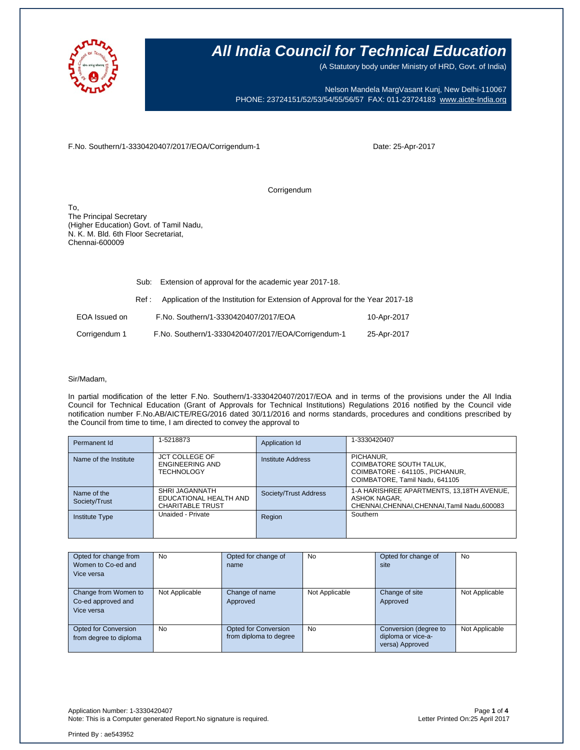

(A Statutory body under Ministry of HRD, Govt. of India)

Nelson Mandela MargVasant Kunj, New Delhi-110067 PHONE: 23724151/52/53/54/55/56/57 FAX: 011-23724183 [www.aicte-India.org](http://www.aicte-india.org/)

F.No. Southern/1-3330420407/2017/EOA/Corrigendum-1

Date: 25-Apr-2017

Corrigendum

To, The Principal Secretary (Higher Education) Govt. of Tamil Nadu, N. K. M. Bld. 6th Floor Secretariat, Chennai-600009

|               | Sub:  | Extension of approval for the academic year 2017-18.                          |             |
|---------------|-------|-------------------------------------------------------------------------------|-------------|
|               | Ref : | Application of the Institution for Extension of Approval for the Year 2017-18 |             |
| EOA Issued on |       | F.No. Southern/1-3330420407/2017/EOA                                          | 10-Apr-2017 |
| Corrigendum 1 |       | F.No. Southern/1-3330420407/2017/EOA/Corrigendum-1                            | 25-Apr-2017 |

#### Sir/Madam,

In partial modification of the letter F.No. Southern/1-3330420407/2017/EOA and in terms of the provisions under the All India Council for Technical Education (Grant of Approvals for Technical Institutions) Regulations 2016 notified by the Council vide notification number F.No.AB/AICTE/REG/2016 dated 30/11/2016 and norms standards, procedures and conditions prescribed by the Council from time to time, I am directed to convey the approval to

| Permanent Id                 | 1-5218873                                                           | Application Id        | 1-3330420407                                                                                               |
|------------------------------|---------------------------------------------------------------------|-----------------------|------------------------------------------------------------------------------------------------------------|
| Name of the Institute        | <b>JCT COLLEGE OF</b><br>ENGINEERING AND<br><b>TECHNOLOGY</b>       | Institute Address     | PICHANUR,<br>COIMBATORE SOUTH TALUK,<br>COIMBATORE - 641105., PICHANUR,<br>COIMBATORE, Tamil Nadu, 641105  |
| Name of the<br>Society/Trust | SHRI JAGANNATH<br>EDUCATIONAL HEALTH AND<br><b>CHARITABLE TRUST</b> | Society/Trust Address | 1-A HARISHREE APARTMENTS, 13,18TH AVENUE,<br>ASHOK NAGAR,<br>CHENNAI, CHENNAI, CHENNAI, Tamil Nadu, 600083 |
| <b>Institute Type</b>        | Unaided - Private                                                   | Region                | Southern                                                                                                   |

| Opted for change from<br>Women to Co-ed and<br>Vice versa | No             | Opted for change of<br>name                    | No             | Opted for change of<br>site                                    | <b>No</b>      |
|-----------------------------------------------------------|----------------|------------------------------------------------|----------------|----------------------------------------------------------------|----------------|
| Change from Women to<br>Co-ed approved and<br>Vice versa  | Not Applicable | Change of name<br>Approved                     | Not Applicable | Change of site<br>Approved                                     | Not Applicable |
| Opted for Conversion<br>from degree to diploma            | <b>No</b>      | Opted for Conversion<br>from diploma to degree | <b>No</b>      | Conversion (degree to<br>diploma or vice-a-<br>versa) Approved | Not Applicable |

Application Number: 1-3330420407 Page **1** of **4** Note: This is a Computer generated Report. No signature is required.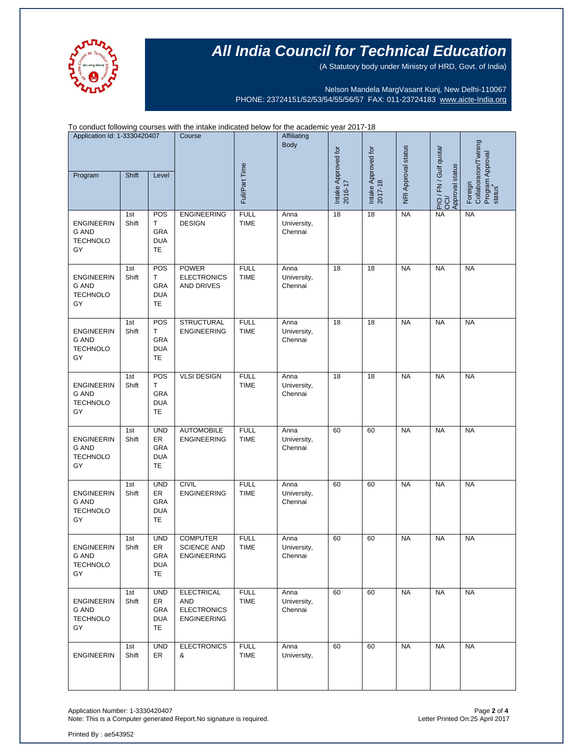

(A Statutory body under Ministry of HRD, Govt. of India)

Nelson Mandela MargVasant Kunj, New Delhi-110067 PHONE: 23724151/52/53/54/55/56/57 FAX: 011-23724183 [www.aicte-India.org](http://www.aicte-india.org/)

| To conduct following courses with the intake indicated below for the academic year 2017-18 |              |                                                    |                                                                      |                            |                                |                                |                                |                     |                                                     |                                  |
|--------------------------------------------------------------------------------------------|--------------|----------------------------------------------------|----------------------------------------------------------------------|----------------------------|--------------------------------|--------------------------------|--------------------------------|---------------------|-----------------------------------------------------|----------------------------------|
| Application Id: 1-3330420407                                                               |              |                                                    | Course                                                               |                            | Affiliating<br><b>Body</b>     |                                |                                |                     |                                                     | Foreign<br>Collaborarion/Twining |
| Program                                                                                    | Shift        | Level                                              |                                                                      | Full/Part Time             |                                | Intake Approved for<br>2016-17 | Intake Approved for<br>2017-18 | NRI Approval status | S PIO / FN / Gulf quota/<br>OCI/<br>Approval status | Program Approval<br>status       |
| <b>ENGINEERIN</b><br><b>G AND</b><br><b>TECHNOLO</b><br>GY                                 | 1st<br>Shift | POS<br>т<br><b>GRA</b><br><b>DUA</b><br>TE         | <b>ENGINEERING</b><br><b>DESIGN</b>                                  | <b>FULL</b><br><b>TIME</b> | Anna<br>University,<br>Chennai | 18                             | 18                             | <b>NA</b>           | <b>NA</b>                                           | <b>NA</b>                        |
| <b>ENGINEERIN</b><br><b>G AND</b><br><b>TECHNOLO</b><br>GY                                 | 1st<br>Shift | POS<br>т<br><b>GRA</b><br><b>DUA</b><br>TE         | <b>POWER</b><br><b>ELECTRONICS</b><br>AND DRIVES                     | <b>FULL</b><br><b>TIME</b> | Anna<br>University,<br>Chennai | 18                             | 18                             | <b>NA</b>           | <b>NA</b>                                           | <b>NA</b>                        |
| <b>ENGINEERIN</b><br><b>G AND</b><br><b>TECHNOLO</b><br>GY                                 | 1st<br>Shift | POS<br>Τ<br><b>GRA</b><br><b>DUA</b><br>TE         | <b>STRUCTURAL</b><br><b>ENGINEERING</b>                              | <b>FULL</b><br><b>TIME</b> | Anna<br>University,<br>Chennai | 18                             | 18                             | <b>NA</b>           | <b>NA</b>                                           | <b>NA</b>                        |
| <b>ENGINEERIN</b><br><b>G AND</b><br><b>TECHNOLO</b><br>GY                                 | 1st<br>Shift | POS<br>т<br><b>GRA</b><br><b>DUA</b><br>TE         | <b>VLSI DESIGN</b>                                                   | <b>FULL</b><br><b>TIME</b> | Anna<br>University,<br>Chennai | 18                             | 18                             | <b>NA</b>           | <b>NA</b>                                           | <b>NA</b>                        |
| <b>ENGINEERIN</b><br><b>G AND</b><br><b>TECHNOLO</b><br>GY                                 | 1st<br>Shift | <b>UND</b><br>ER<br><b>GRA</b><br><b>DUA</b><br>TE | <b>AUTOMOBILE</b><br><b>ENGINEERING</b>                              | <b>FULL</b><br><b>TIME</b> | Anna<br>University,<br>Chennai | 60                             | 60                             | <b>NA</b>           | <b>NA</b>                                           | <b>NA</b>                        |
| <b>ENGINEERIN</b><br><b>G AND</b><br><b>TECHNOLO</b><br>GY                                 | 1st<br>Shift | <b>UND</b><br>ER<br><b>GRA</b><br><b>DUA</b><br>TE | <b>CIVIL</b><br><b>ENGINEERING</b>                                   | <b>FULL</b><br><b>TIME</b> | Anna<br>University,<br>Chennai | 60                             | 60                             | <b>NA</b>           | <b>NA</b>                                           | <b>NA</b>                        |
| ENGINEERIN<br>G AND<br><b>TECHNOLO</b><br>GY                                               | 1st<br>Shift | <b>UND</b><br>ER<br>GRA<br><b>DUA</b><br>TE        | <b>COMPUTER</b><br><b>SCIENCE AND</b><br><b>ENGINEERING</b>          | <b>FULL</b><br>TIME        | Anna<br>University,<br>Chennai | 60                             | 60                             | <b>NA</b>           | <b>NA</b>                                           | <b>NA</b>                        |
| <b>ENGINEERIN</b><br>G AND<br><b>TECHNOLO</b><br>GY                                        | 1st<br>Shift | <b>UND</b><br>ER<br>GRA<br><b>DUA</b><br>TE        | <b>ELECTRICAL</b><br>AND<br><b>ELECTRONICS</b><br><b>ENGINEERING</b> | <b>FULL</b><br><b>TIME</b> | Anna<br>University,<br>Chennai | 60                             | 60                             | <b>NA</b>           | <b>NA</b>                                           | <b>NA</b>                        |
| <b>ENGINEERIN</b>                                                                          | 1st<br>Shift | <b>UND</b><br>ER                                   | <b>ELECTRONICS</b><br>&                                              | <b>FULL</b><br><b>TIME</b> | Anna<br>University,            | 60                             | 60                             | <b>NA</b>           | <b>NA</b>                                           | <b>NA</b>                        |

Application Number: 1-3330420407 Page **2** of **4** Note: This is a Computer generated Report.No signature is required.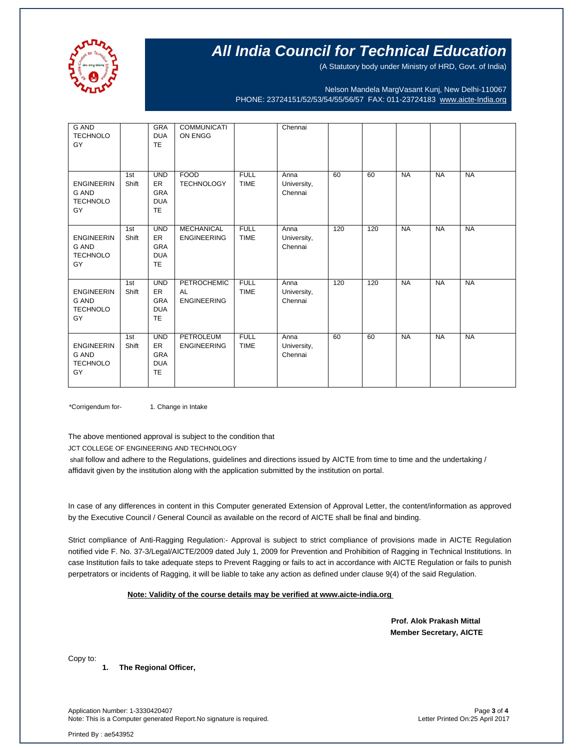

(A Statutory body under Ministry of HRD, Govt. of India)

Nelson Mandela MargVasant Kunj, New Delhi-110067 PHONE: 23724151/52/53/54/55/56/57 FAX: 011-23724183 [www.aicte-India.org](http://www.aicte-india.org/)

| <b>G AND</b><br><b>TECHNOLO</b><br>GY                      |              | <b>GRA</b><br><b>DUA</b><br><b>TE</b>                            | <b>COMMUNICATI</b><br>ON ENGG           |                            | Chennai                        |     |     |           |           |           |
|------------------------------------------------------------|--------------|------------------------------------------------------------------|-----------------------------------------|----------------------------|--------------------------------|-----|-----|-----------|-----------|-----------|
| <b>ENGINEERIN</b><br><b>G AND</b><br><b>TECHNOLO</b><br>GY | 1st<br>Shift | <b>UND</b><br>ER<br><b>GRA</b><br><b>DUA</b><br><b>TE</b>        | <b>FOOD</b><br><b>TECHNOLOGY</b>        | <b>FULL</b><br><b>TIME</b> | Anna<br>University,<br>Chennai | 60  | 60  | <b>NA</b> | <b>NA</b> | <b>NA</b> |
| <b>ENGINEERIN</b><br><b>G AND</b><br><b>TECHNOLO</b><br>GY | 1st<br>Shift | <b>UND</b><br>ER<br><b>GRA</b><br><b>DUA</b><br><b>TE</b>        | <b>MECHANICAL</b><br><b>ENGINEERING</b> | <b>FULL</b><br><b>TIME</b> | Anna<br>University,<br>Chennai | 120 | 120 | <b>NA</b> | <b>NA</b> | <b>NA</b> |
| <b>ENGINEERIN</b><br><b>G AND</b><br><b>TECHNOLO</b><br>GY | 1st<br>Shift | <b>UND</b><br><b>ER</b><br><b>GRA</b><br><b>DUA</b><br>TE        | PETROCHEMIC<br>AL<br><b>ENGINEERING</b> | <b>FULL</b><br><b>TIME</b> | Anna<br>University,<br>Chennai | 120 | 120 | <b>NA</b> | <b>NA</b> | <b>NA</b> |
| <b>ENGINEERIN</b><br><b>G AND</b><br><b>TECHNOLO</b><br>GY | 1st<br>Shift | <b>UND</b><br><b>ER</b><br><b>GRA</b><br><b>DUA</b><br><b>TE</b> | <b>PETROLEUM</b><br><b>ENGINEERING</b>  | <b>FULL</b><br><b>TIME</b> | Anna<br>University,<br>Chennai | 60  | 60  | <b>NA</b> | <b>NA</b> | <b>NA</b> |

\*Corrigendum for- 1. Change in Intake

The above mentioned approval is subject to the condition that

JCT COLLEGE OF ENGINEERING AND TECHNOLOGY

shall follow and adhere to the Regulations, guidelines and directions issued by AICTE from time to time and the undertaking / affidavit given by the institution along with the application submitted by the institution on portal.

In case of any differences in content in this Computer generated Extension of Approval Letter, the content/information as approved by the Executive Council / General Council as available on the record of AICTE shall be final and binding.

Strict compliance of Anti-Ragging Regulation:- Approval is subject to strict compliance of provisions made in AICTE Regulation notified vide F. No. 37-3/Legal/AICTE/2009 dated July 1, 2009 for Prevention and Prohibition of Ragging in Technical Institutions. In case Institution fails to take adequate steps to Prevent Ragging or fails to act in accordance with AICTE Regulation or fails to punish perpetrators or incidents of Ragging, it will be liable to take any action as defined under clause 9(4) of the said Regulation.

#### **Note: Validity of the course details may be verified at www.aicte-india.org**

 **Prof. Alok Prakash Mittal Member Secretary, AICTE**

Copy to:

**1. The Regional Officer,**